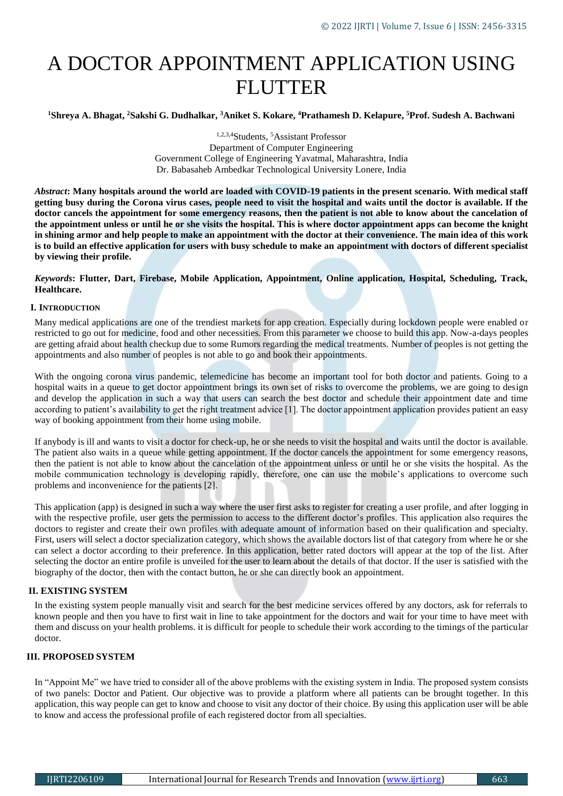# A DOCTOR APPOINTMENT APPLICATION USING **FLUTTER**

**<sup>1</sup>Shreya A. Bhagat, <sup>2</sup>Sakshi G. Dudhalkar, <sup>3</sup>Aniket S. Kokare, <sup>4</sup>Prathamesh D. Kelapure, <sup>5</sup>Prof. Sudesh A. Bachwani**

1,2,3,4Students, <sup>5</sup>Assistant Professor Department of Computer Engineering Government College of Engineering Yavatmal, Maharashtra, India Dr. Babasaheb Ambedkar Technological University Lonere, India

*Abstract***: Many hospitals around the world are loaded with COVID-19 patients in the present scenario. With medical staff getting busy during the Corona virus cases, people need to visit the hospital and waits until the doctor is available. If the doctor cancels the appointment for some emergency reasons, then the patient is not able to know about the cancelation of the appointment unless or until he or she visits the hospital. This is where doctor appointment apps can become the knight in shining armor and help people to make an appointment with the doctor at their convenience. The main idea of this work is to build an effective application for users with busy schedule to make an appointment with doctors of different specialist by viewing their profile.**

# *Keywords***: Flutter, Dart, Firebase, Mobile Application, Appointment, Online application, Hospital, Scheduling, Track, Healthcare.**

# **I. INTRODUCTION**

Many medical applications are one of the trendiest markets for app creation. Especially during lockdown people were enabled or restricted to go out for medicine, food and other necessities. From this parameter we choose to build this app. Now-a-days peoples are getting afraid about health checkup due to some Rumors regarding the medical treatments. Number of peoples is not getting the appointments and also number of peoples is not able to go and book their appointments.

With the ongoing corona virus pandemic, telemedicine has become an important tool for both doctor and patients. Going to a hospital waits in a queue to get doctor appointment brings its own set of risks to overcome the problems, we are going to design and develop the application in such a way that users can search the best doctor and schedule their appointment date and time according to patient's availability to get the right treatment advice [1]. The doctor appointment application provides patient an easy way of booking appointment from their home using mobile.

If anybody is ill and wants to visit a doctor for check-up, he or she needs to visit the hospital and waits until the doctor is available. The patient also waits in a queue while getting appointment. If the doctor cancels the appointment for some emergency reasons, then the patient is not able to know about the cancelation of the appointment unless or until he or she visits the hospital. As the mobile communication technology is developing rapidly, therefore, one can use the mobile's applications to overcome such problems and inconvenience for the patients [2].

This application (app) is designed in such a way where the user first asks to register for creating a user profile, and after logging in with the respective profile, user gets the permission to access to the different doctor's profiles. This application also requires the doctors to register and create their own profiles with adequate amount of information based on their qualification and specialty. First, users will select a doctor specialization category, which shows the available doctors list of that category from where he or she can select a doctor according to their preference. In this application, better rated doctors will appear at the top of the list. After selecting the doctor an entire profile is unveiled for the user to learn about the details of that doctor. If the user is satisfied with the biography of the doctor, then with the contact button, he or she can directly book an appointment.

# **II. EXISTING SYSTEM**

In the existing system people manually visit and search for the best medicine services offered by any doctors, ask for referrals to known people and then you have to first wait in line to take appointment for the doctors and wait for your time to have meet with them and discuss on your health problems. it is difficult for people to schedule their work according to the timings of the particular doctor.

# **III. PROPOSED SYSTEM**

In "Appoint Me" we have tried to consider all of the above problems with the existing system in India. The proposed system consists of two panels: Doctor and Patient. Our objective was to provide a platform where all patients can be brought together. In this application, this way people can get to know and choose to visit any doctor of their choice. By using this application user will be able to know and access the professional profile of each registered doctor from all specialties.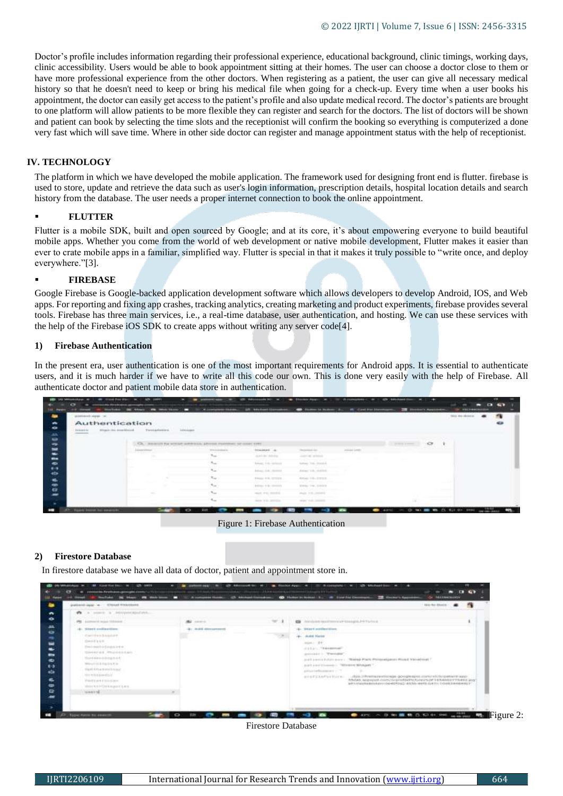Doctor's profile includes information regarding their professional experience, educational background, clinic timings, working days, clinic accessibility. Users would be able to book appointment sitting at their homes. The user can choose a doctor close to them or have more professional experience from the other doctors. When registering as a patient, the user can give all necessary medical history so that he doesn't need to keep or bring his medical file when going for a check-up. Every time when a user books his appointment, the doctor can easily get access to the patient's profile and also update medical record. The doctor's patients are brought to one platform will allow patients to be more flexible they can register and search for the doctors. The list of doctors will be shown and patient can book by selecting the time slots and the receptionist will confirm the booking so everything is computerized a done very fast which will save time. Where in other side doctor can register and manage appointment status with the help of receptionist.

#### **IV. TECHNOLOGY**

The platform in which we have developed the mobile application. The framework used for designing front end is flutter. firebase is used to store, update and retrieve the data such as user's login information, prescription details, hospital location details and search history from the database. The user needs a proper internet connection to book the online appointment.

#### **FLUTTER**

Flutter is a mobile SDK, built and open sourced by Google; and at its core, it's about empowering everyone to build beautiful mobile apps. Whether you come from the world of web development or native mobile development, Flutter makes it easier than ever to crate mobile apps in a familiar, simplified way. Flutter is special in that it makes it truly possible to "write once, and deploy everywhere."[3].

#### **FIREBASE**

Google Firebase is Google-backed application development software which allows developers to develop Android, IOS, and Web apps. For reporting and fixing app crashes, tracking analytics, creating marketing and product experiments, firebase provides several tools. Firebase has three main services, i.e., a real-time database, user authentication, and hosting. We can use these services with the help of the Firebase iOS SDK to create apps without writing any server code[4].

#### **1) Firebase Authentication**

In the present era, user authentication is one of the most important requirements for Android apps. It is essential to authenticate users, and it is much harder if we have to write all this code our own. This is done very easily with the help of Firebase. All authenticate doctor and patient mobile data store in authentication.

|                                       |                                                         |                                                                  |                                                             |                                                                                |               |                   |                   | tion we dream. |
|---------------------------------------|---------------------------------------------------------|------------------------------------------------------------------|-------------------------------------------------------------|--------------------------------------------------------------------------------|---------------|-------------------|-------------------|----------------|
| Authentication                        |                                                         |                                                                  |                                                             |                                                                                |               |                   |                   |                |
| Wingsto-See more blooms<br>distant-in | Territories                                             | image.                                                           |                                                             |                                                                                |               |                   |                   |                |
| ___                                   |                                                         |                                                                  |                                                             |                                                                                |               |                   |                   |                |
|                                       |                                                         | SHACUT: Top without summany, pressure recentions our conservants |                                                             |                                                                                |               | <b>CONTRACTOR</b> | $\circ$<br>œ      |                |
|                                       | the control of the property of the<br><b>Linesville</b> | The competition of                                               | <b>STARRE AL</b>                                            | Instrument Astro                                                               | contact Leads |                   |                   |                |
|                                       | .                                                       | $\mathcal{H}_{\rm{ext}}$                                         | durch des Children                                          | James allen                                                                    |               |                   |                   |                |
|                                       |                                                         | CROSS                                                            | Askanz, 4-day cardinals                                     | Asked Trail, Streetski                                                         |               |                   |                   |                |
|                                       |                                                         | T.                                                               | Askage shik construc-                                       | Alman Like Antibile                                                            |               |                   |                   |                |
|                                       |                                                         | $\mathcal{R}_{\text{cusp}}$ .                                    | Silvers V.S. (Chicago                                       | Arkazo T-B - 2 (F/E) B                                                         |               |                   |                   |                |
|                                       |                                                         |                                                                  |                                                             | <b>CONTRACTOR</b> INTERNATIONAL<br>State-Tell, State-                          |               |                   |                   |                |
|                                       |                                                         |                                                                  |                                                             |                                                                                |               |                   |                   |                |
|                                       | $\sim$                                                  | C. Magazine                                                      | <b>B-ENGLY &amp; By Constitute</b><br>ment of the interest. | and the first of the first product of the components<br>Joseph Fello, Jammin & |               |                   | <b>CONTRACTOR</b> |                |

Figure 1: Firebase Authentication

#### **2) Firestore Database**

In firestore database we have all data of doctor, patient and appointment store in.



Firestore Database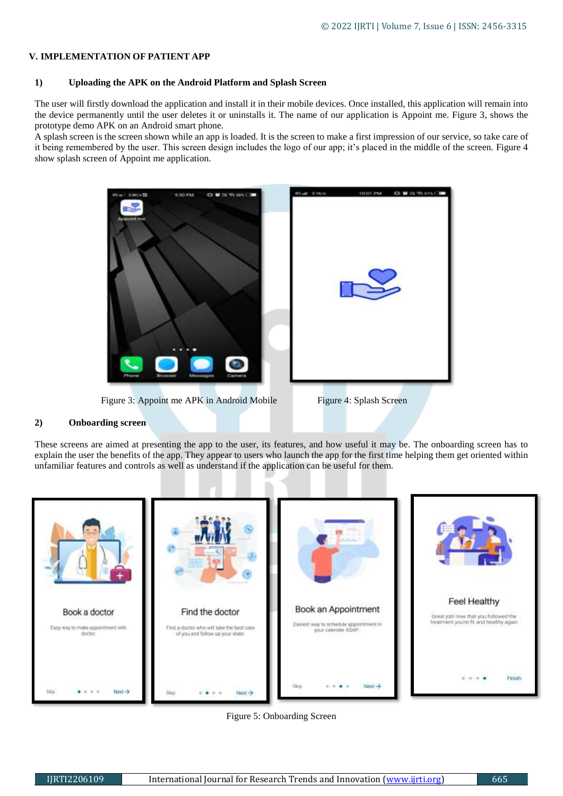# **V. IMPLEMENTATION OF PATIENT APP**

# **1) Uploading the APK on the Android Platform and Splash Screen**

The user will firstly download the application and install it in their mobile devices. Once installed, this application will remain into the device permanently until the user deletes it or uninstalls it. The name of our application is Appoint me. Figure 3, shows the prototype demo APK on an Android smart phone.

A splash screen is the screen shown while an app is loaded. It is the screen to make a first impression of our service, so take care of it being remembered by the user. This screen design includes the logo of our app; it's placed in the middle of the screen. Figure 4 show splash screen of Appoint me application.



Figure 3: Appoint me APK in Android Mobile Figure 4: Splash Screen

# **2) Onboarding screen**

These screens are aimed at presenting the app to the user, its features, and how useful it may be. The onboarding screen has to explain the user the benefits of the app. They appear to users who launch the app for the first time helping them get oriented within unfamiliar features and controls as well as understand if the application can be useful for them.



Figure 5: Onboarding Screen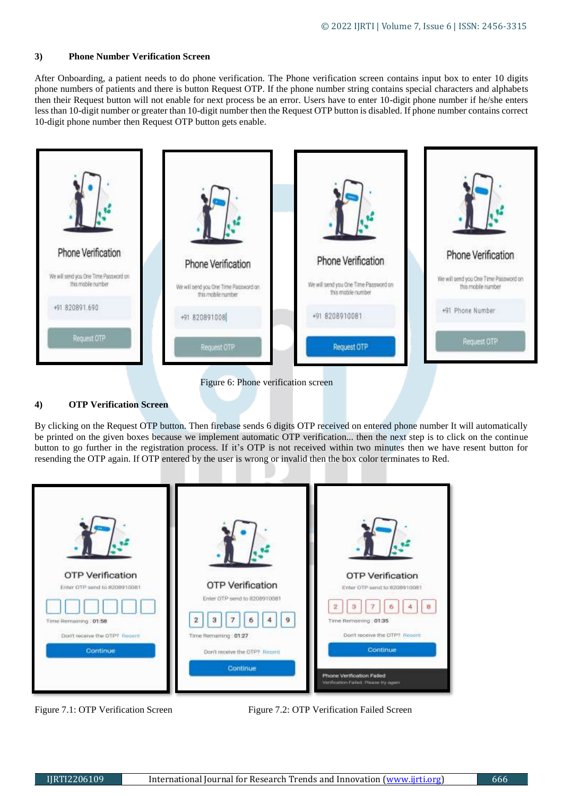#### **3) Phone Number Verification Screen**

After Onboarding, a patient needs to do phone verification. The Phone verification screen contains input box to enter 10 digits phone numbers of patients and there is button Request OTP. If the phone number string contains special characters and alphabets then their Request button will not enable for next process be an error. Users have to enter 10-digit phone number if he/she enters less than 10-digit number or greater than 10-digit number then the Request OTP button is disabled. If phone number contains correct 10-digit phone number then Request OTP button gets enable.



# **4) OTP Verification Screen**

By clicking on the Request OTP button. Then firebase sends 6 digits OTP received on entered phone number It will automatically be printed on the given boxes because we implement automatic OTP verification... then the next step is to click on the continue button to go further in the registration process. If it's OTP is not received within two minutes then we have resent button for resending the OTP again. If OTP entered by the user is wrong or invalid then the box color terminates to Red.



Figure 7.1: OTP Verification Screen Figure 7.2: OTP Verification Failed Screen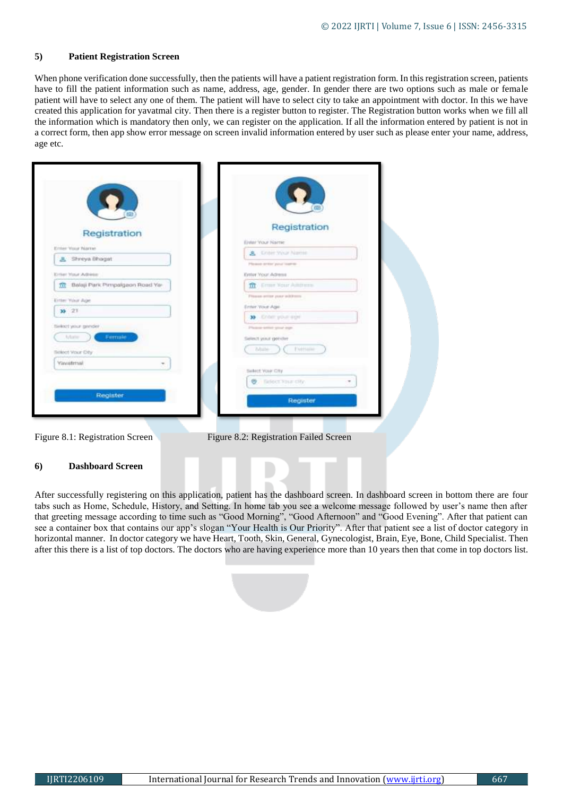# **5) Patient Registration Screen**

When phone verification done successfully, then the patients will have a patient registration form. In this registration screen, patients have to fill the patient information such as name, address, age, gender. In gender there are two options such as male or female patient will have to select any one of them. The patient will have to select city to take an appointment with doctor. In this we have created this application for yavatmal city. Then there is a register button to register. The Registration button works when we fill all the information which is mandatory then only, we can register on the application. If all the information entered by patient is not in a correct form, then app show error message on screen invalid information entered by user such as please enter your name, address, age etc.

| Registration                         | Registration                |
|--------------------------------------|-----------------------------|
| Enter Your Name                      | Einhr Your Name             |
| & Shreya Bhagat                      | A Kriser Your Name          |
|                                      | Please arrive year loanis-  |
| <b>Driver Yorur Administ</b>         | Estter Your Adress          |
| Balaji Park Pimpalgaon Road Ya-<br>宜 | <b>IT Come Your Ammers</b>  |
| Enter Your Age                       | Please ettier puts sublems. |
| $39 - 21$                            | Enter Your Age              |
|                                      | <b>33</b> Enter your age    |
| tieket your gender                   | Plyman select stout man     |
| Ferriale<br>Male                     | Select winit gender         |
| Bolect Your City                     | Europe<br>Made              |
| Yavatrrsal                           |                             |
|                                      | Select Your City            |
|                                      | <b>Q:</b> fielded Stair Obr |
|                                      |                             |
| Register <b>Committee</b>            | Register                    |
|                                      |                             |

#### **6) Dashboard Screen**

After successfully registering on this application, patient has the dashboard screen. In dashboard screen in bottom there are four tabs such as Home, Schedule, History, and Setting. In home tab you see a welcome message followed by user's name then after that greeting message according to time such as "Good Morning", "Good Afternoon" and "Good Evening". After that patient can see a container box that contains our app's slogan "Your Health is Our Priority". After that patient see a list of doctor category in horizontal manner. In doctor category we have Heart, Tooth, Skin, General, Gynecologist, Brain, Eye, Bone, Child Specialist. Then after this there is a list of top doctors. The doctors who are having experience more than 10 years then that come in top doctors list.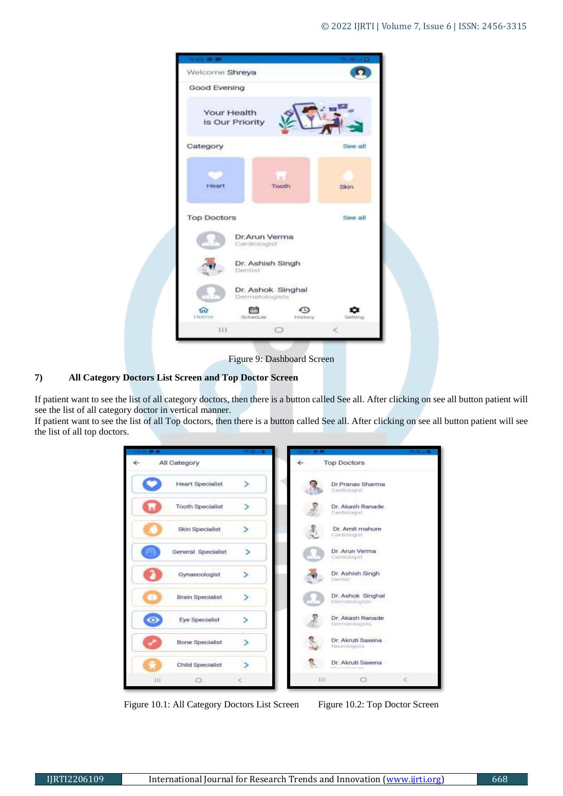| Welcome Shreya     |                                     |               |         |
|--------------------|-------------------------------------|---------------|---------|
| Good Evening       |                                     |               |         |
|                    | Your Health<br>is Our Priority      |               |         |
| Category           |                                     |               | See all |
| Heart              |                                     | Tooth         | Skin    |
| <b>Top Doctors</b> |                                     |               | See all |
|                    | Dr.Arun Verma<br>Cardiologist       |               |         |
|                    | Dr. Ashish Singh<br>Dentist         |               |         |
|                    | Dr. Ashok Singhal<br>Dermatologists |               |         |
| <b>m</b><br>Home   | the machine.                        | c<br>History: | Setting |
|                    | HT.                                 |               |         |

Figure 9: Dashboard Screen

# **7) All Category Doctors List Screen and Top Doctor Screen**

If patient want to see the list of all category doctors, then there is a button called See all. After clicking on see all button patient will see the list of all category doctor in vertical manner.

If patient want to see the list of all Top doctors, then there is a button called See all. After clicking on see all button patient will see the list of all top doctors.

| <b><i>CARDINAL MICHAEL</i></b> |                         | <b>CONTRACTOR</b>        | <b><i><u>PERSONAL PROPERTY</u></i></b> |                                           | <b><i><u>STATISTICS</u></i></b> |
|--------------------------------|-------------------------|--------------------------|----------------------------------------|-------------------------------------------|---------------------------------|
|                                | All Category            |                          | ←                                      | <b>Top Doctors</b>                        |                                 |
|                                | <b>Heart Specialist</b> | $\geq$                   |                                        | Dr.Pranav Sharma<br>Cardiniogiat          |                                 |
| ×.                             | <b>Tooth Specialist</b> |                          |                                        | Dr. Akash Ranade<br>Cardiologist          |                                 |
|                                | Skin Specialist         |                          |                                        | Dr. Amit mahure<br>Cardidiogiat           |                                 |
|                                | General Specialist      | S                        |                                        | Dr. Arun Verma<br>Cardinhogian            |                                 |
|                                | Gynaecologist           | ≻                        |                                        | Dr. Ashlah Singh<br>Derritative consumers |                                 |
|                                | <b>Brain Specialist</b> | $\overline{\phantom{0}}$ |                                        | Dr. Ashok Singhal<br>Demandabigible."     |                                 |
| $\bullet$                      | Eye Specialist          | s.                       |                                        | Dr. Akash Ranade<br>Deematologists        |                                 |
|                                | <b>Bone Specialist</b>  | $\geq$                   |                                        | Dr. Akruti Saxena<br>Neumaingists -       |                                 |
|                                | Child Specialist        |                          |                                        | Dr. Akruti Saxena<br>$1.1 - 1.0$          |                                 |
| 111                            | o                       |                          |                                        | $111 -$<br>$\Box$                         | c                               |

Figure 10.1: All Category Doctors List Screen Figure 10.2: Top Doctor Screen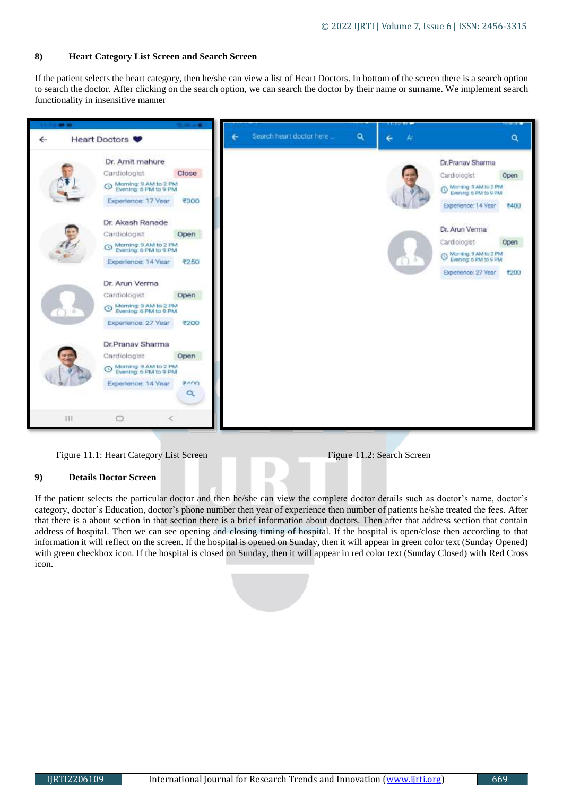# **8) Heart Category List Screen and Search Screen**

If the patient selects the heart category, then he/she can view a list of Heart Doctors. In bottom of the screen there is a search option to search the doctor. After clicking on the search option, we can search the doctor by their name or surname. We implement search functionality in insensitive manner



# Figure 11.1: Heart Category List Screen Figure 11.2: Search Screen

# **9) Details Doctor Screen**

If the patient selects the particular doctor and then he/she can view the complete doctor details such as doctor's name, doctor's category, doctor's Education, doctor's phone number then year of experience then number of patients he/she treated the fees. After that there is a about section in that section there is a brief information about doctors. Then after that address section that contain address of hospital. Then we can see opening and closing timing of hospital. If the hospital is open/close then according to that information it will reflect on the screen. If the hospital is opened on Sunday, then it will appear in green color text (Sunday Opened) with green checkbox icon. If the hospital is closed on Sunday, then it will appear in red color text (Sunday Closed) with Red Cross icon.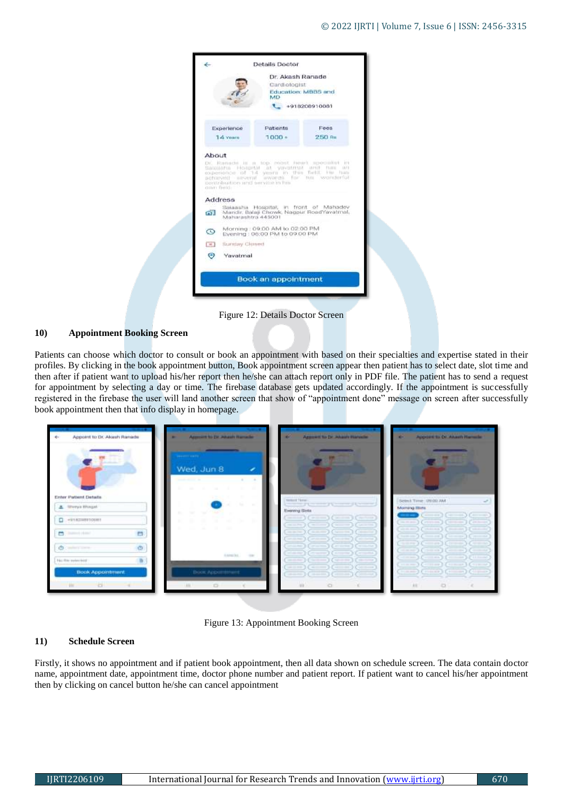

# **10) Appointment Booking Screen**

Patients can choose which doctor to consult or book an appointment with based on their specialties and expertise stated in their profiles. By clicking in the book appointment button, Book appointment screen appear then patient has to select date, slot time and then after if patient want to upload his/her report then he/she can attach report only in PDF file. The patient has to send a request for appointment by selecting a day or time. The firebase database gets updated accordingly. If the appointment is successfully registered in the firebase the user will land another screen that show of "appointment done" message on screen after successfully book appointment then that info display in homepage.



Figure 13: Appointment Booking Screen

# **11) Schedule Screen**

Firstly, it shows no appointment and if patient book appointment, then all data shown on schedule screen. The data contain doctor name, appointment date, appointment time, doctor phone number and patient report. If patient want to cancel his/her appointment then by clicking on cancel button he/she can cancel appointment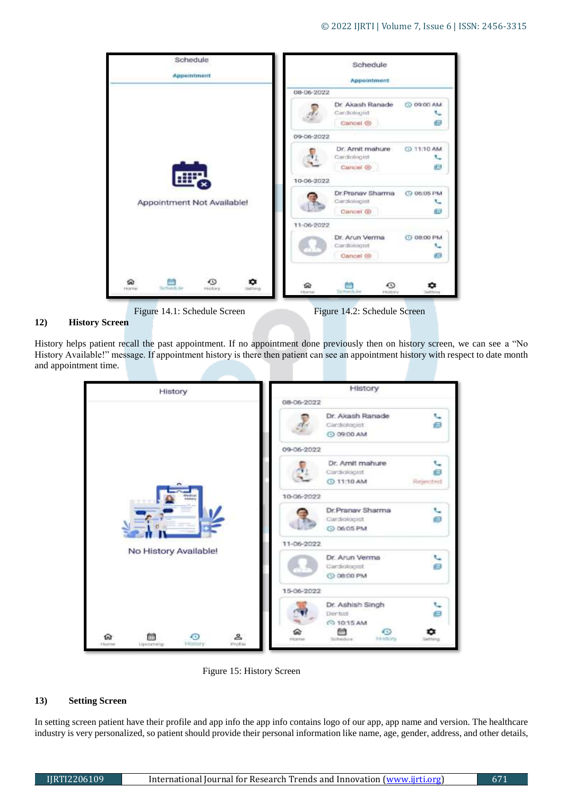

#### **12) History Screen**

History helps patient recall the past appointment. If no appointment done previously then on history screen, we can see a "No History Available!" message. If appointment history is there then patient can see an appointment history with respect to date month and appointment time.

| History                                                                      | History                                                                               |
|------------------------------------------------------------------------------|---------------------------------------------------------------------------------------|
|                                                                              | 08-06-2022                                                                            |
|                                                                              | Dr. Akash Ranade<br>۹.<br>启<br>Cardiologist<br>C 09:00 AM                             |
|                                                                              | 09-06-2022                                                                            |
|                                                                              | Dr. Amit mahure<br>Cardiologist<br>⊟<br>@ 11:10 AM<br>Rejected                        |
| Medical<br>Heleny                                                            | 10-06-2022                                                                            |
|                                                                              | Dr.Pranav Sharma<br>Θ<br>Cardiologist<br>C 06:05 PM                                   |
|                                                                              | 11-06-2022                                                                            |
| No History Available!                                                        | Dr. Arun Verma<br>Ч<br>e<br>Cardiologist<br>C 08:00 PM                                |
|                                                                              | 15-06-2022                                                                            |
|                                                                              | Dr. Ashish Singh<br>◟<br>Θ<br>Dermot<br>C 10:15 AM<br>無情<br>463<br>GW                 |
| $\mathbf{r}$<br>⊕<br>ଜ<br>侖<br><b>History</b><br>Profile<br>Home<br>Upcoming | History<br><b><i><u><i><u><b>Historical</b></u></i></u></i></b><br>Schedule<br>attany |

Figure 15: History Screen

#### **13) Setting Screen**

In setting screen patient have their profile and app info the app info contains logo of our app, app name and version. The healthcare industry is very personalized, so patient should provide their personal information like name, age, gender, address, and other details,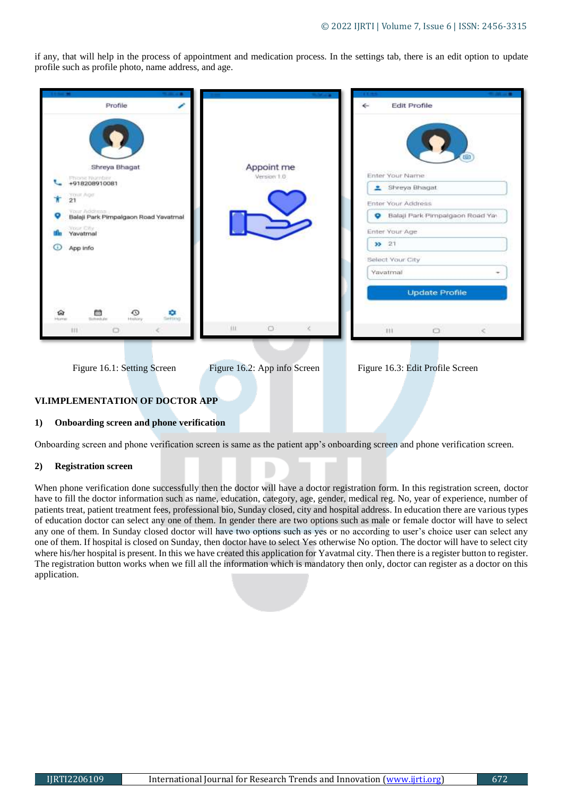if any, that will help in the process of appointment and medication process. In the settings tab, there is an edit option to update profile such as profile photo, name address, and age.

| Profile                                                                                                                           | <b>Edit Profile</b><br>←                                                                                                                                                               |
|-----------------------------------------------------------------------------------------------------------------------------------|----------------------------------------------------------------------------------------------------------------------------------------------------------------------------------------|
| Shreya Bhagat<br>+918208910081<br>TOUR AGE<br>21<br>YOUT AGOINAS.<br>Balaji Park Pimpalgaon Road Yavatmal<br>Yavatmal<br>App info | Appoint me<br>Enter Your Name<br>Version 1.0<br>Shreya Bhagat<br>Enter Your Address<br>Balaji Park Pimpalgaon Road Yas<br>۰<br>Enter Your Age<br>32 21<br>Select Your City<br>Yavatmal |
| 商<br>ல<br>۰<br>জি<br>Sintenbule<br>Seiting<br>History<br>Horne<br>111.<br>O                                                       | <b>Update Profile</b><br>Ш<br>$\circ$<br>$\circ$<br>111                                                                                                                                |
| Figure 16.1: Setting Screen                                                                                                       | Figure 16.2: App info Screen<br>Figure 16.3: Edit Profile Screen                                                                                                                       |

# **VI.IMPLEMENTATION OF DOCTOR APP**

#### **1) Onboarding screen and phone verification**

Onboarding screen and phone verification screen is same as the patient app's onboarding screen and phone verification screen.

#### **2) Registration screen**

When phone verification done successfully then the doctor will have a doctor registration form. In this registration screen, doctor have to fill the doctor information such as name, education, category, age, gender, medical reg. No, year of experience, number of patients treat, patient treatment fees, professional bio, Sunday closed, city and hospital address. In education there are various types of education doctor can select any one of them. In gender there are two options such as male or female doctor will have to select any one of them. In Sunday closed doctor will have two options such as yes or no according to user's choice user can select any one of them. If hospital is closed on Sunday, then doctor have to select Yes otherwise No option. The doctor will have to select city where his/her hospital is present. In this we have created this application for Yavatmal city. Then there is a register button to register. The registration button works when we fill all the information which is mandatory then only, doctor can register as a doctor on this application.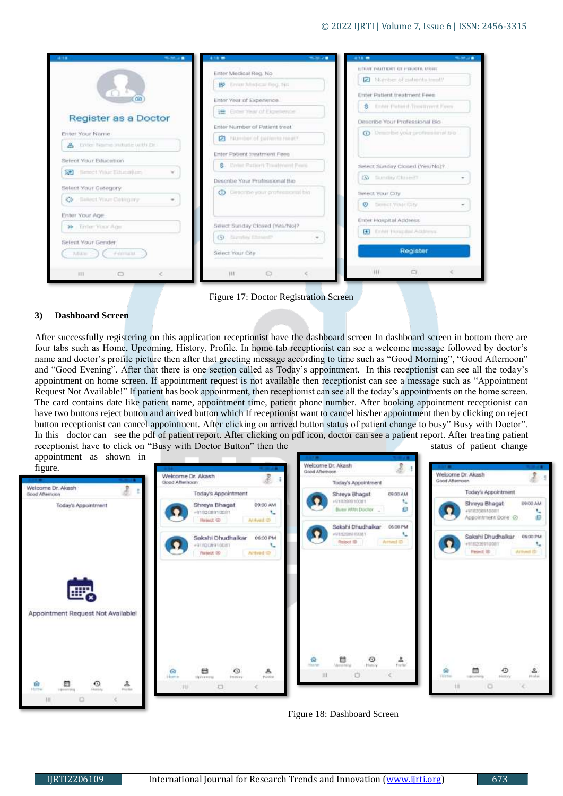| <b><i>MAGAZIN</i></b><br>1.14 | 418.99                                   | <b>MARINE</b> | 4.18.99 |                                   | <b>MUSEUM</b> |
|-------------------------------|------------------------------------------|---------------|---------|-----------------------------------|---------------|
|                               | Enter Medical Reg. No                    |               |         | ETIME PAITRINT OF PROPER INSIE.   |               |
|                               | IV Timer Medical Reg. No.                |               |         | Number of patents trenty          |               |
|                               | Enter Year of Experience                 |               |         | Enter Patient treatment Fees.     |               |
|                               | E Cross Year of Expellence               |               |         | S Enter Patient Treatment Fees    |               |
| Register as a Doctor          |                                          |               |         | Describe Your Professional Big-   |               |
| Enter Your Name               | Enter Nurriber of Patient treat          |               |         | @ Describe your professional trip |               |
| & Enter Name mitude with the  | 2 Number of patients treat?              |               |         |                                   |               |
|                               | Enter Patient treatment Fees             |               |         |                                   |               |
| Select Your Education         | S. Critic Pattern Toutenett Peers        |               |         | Select Sunday Closed (Yes/No)?    |               |
| 59 (flamed Vitur Education)   | Describe Your Professional Bio-          |               |         | <b>CO</b> Europay Observer        |               |
| Select Your Category          | <b>O</b> Describe your professional big- |               |         | Select Your City                  |               |
| <br>Samest. Your Collegary    |                                          |               |         | <b>D</b> Demot Your City          |               |
| Enter Your Age.               |                                          |               |         |                                   |               |
|                               | Select Sunday Closed (Yea/No)?           |               |         | Enter Hospital Address            |               |
| 39 Einfer Your Age            |                                          |               |         | E Enter Hongstad Address          |               |
| Select Your Gender            | (5) Sumbly Chinandi                      | $\pi$         |         |                                   |               |
| Mille =<br>Fermalat           | Select Your City                         |               |         | Register                          |               |
| m<br>o                        | HI.                                      | c             |         | 111<br>Ð                          |               |

Figure 17: Doctor Registration Screen

#### **3) Dashboard Screen**

After successfully registering on this application receptionist have the dashboard screen In dashboard screen in bottom there are four tabs such as Home, Upcoming, History, Profile. In home tab receptionist can see a welcome message followed by doctor's name and doctor's profile picture then after that greeting message according to time such as "Good Morning", "Good Afternoon" and "Good Evening". After that there is one section called as Today's appointment. In this receptionist can see all the today's appointment on home screen. If appointment request is not available then receptionist can see a message such as "Appointment Request Not Available!" If patient has book appointment, then receptionist can see all the today's appointments on the home screen. The card contains date like patient name, appointment time, patient phone number. After booking appointment receptionist can have two buttons reject button and arrived button which If receptionist want to cancel his/her appointment then by clicking on reject button receptionist can cancel appointment. After clicking on arrived button status of patient change to busy" Busy with Doctor". In this doctor can see the pdf of patient report. After clicking on pdf icon, doctor can see a patient report. After treating patient receptionist have to click on "Busy with Doctor Button" then the status of patient change



Figure 18: Dashboard Screen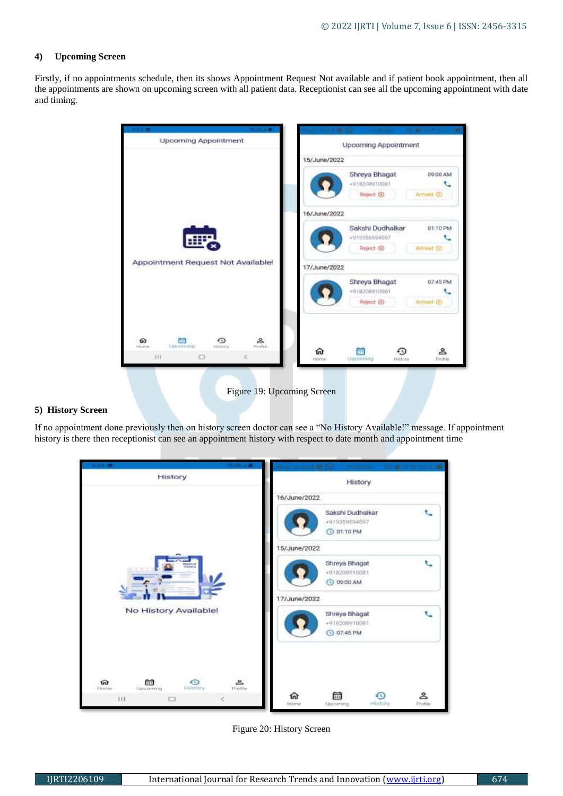#### **4) Upcoming Screen**

Firstly, if no appointments schedule, then its shows Appointment Request Not available and if patient book appointment, then all the appointments are shown on upcoming screen with all patient data. Receptionist can see all the upcoming appointment with date and timing.

| <b>Upcoming Appointment</b>                                        | <b>Upcoming Appointment</b>                   |
|--------------------------------------------------------------------|-----------------------------------------------|
|                                                                    | 15/June/2022                                  |
|                                                                    | Shreya Bhagat<br>D9:00 AM<br>+918208910081    |
|                                                                    | Reject @<br>Amived <sub>CO</sub>              |
|                                                                    | 16/June/2022                                  |
|                                                                    | Sakshi Dudhalkar<br>01:10 PM<br>+919359594597 |
|                                                                    | Reject <sup>®</sup><br>Amwat ®                |
| Appointment Request Not Available!                                 | 17/June/2022                                  |
|                                                                    |                                               |
|                                                                    | Shreya Bhagat<br>07:45 PM                     |
|                                                                    | +918208910081<br>Reject. @<br>Attived @       |
| 2<br>俞<br>Profile<br><b>Upperment</b><br><b>Informer</b><br>PERMIT |                                               |

# **5) History Screen**

If no appointment done previously then on history screen doctor can see a "No History Available!" message. If appointment history is there then receptionist can see an appointment history with respect to date month and appointment time

| <b>CALIFORNIA</b>                                                 |                     | at the Committee of the growth and |              |
|-------------------------------------------------------------------|---------------------|------------------------------------|--------------|
| History                                                           |                     | History                            |              |
|                                                                   | 16/June/2022        |                                    |              |
|                                                                   |                     | Sakshi Dudhalkar                   |              |
|                                                                   |                     | +919359594597<br>C 01:10 PM        |              |
|                                                                   | 15/June/2022        |                                    |              |
| Madrid<br>Robbin                                                  |                     | Shreya Bhagat                      |              |
|                                                                   |                     | +918208910081<br><b>O 09:00 AM</b> |              |
|                                                                   | 17/June/2022        |                                    |              |
| No History Available!                                             |                     | Shreya Bhagat                      | $\mathbf{C}$ |
|                                                                   |                     | +918208910081<br>C 07:45 PM        |              |
|                                                                   |                     |                                    |              |
|                                                                   |                     |                                    |              |
| D<br>౾<br>তিয়<br>的<br>Lipporning<br>History<br>Hrotile<br>Horres |                     |                                    |              |
| TTT.<br>$\epsilon$<br>o                                           | ল্য<br><b>Ytome</b> | 菌<br>Ð<br>Hintory<br>Upcoming      | ≗<br>Profile |

Figure 20: History Screen